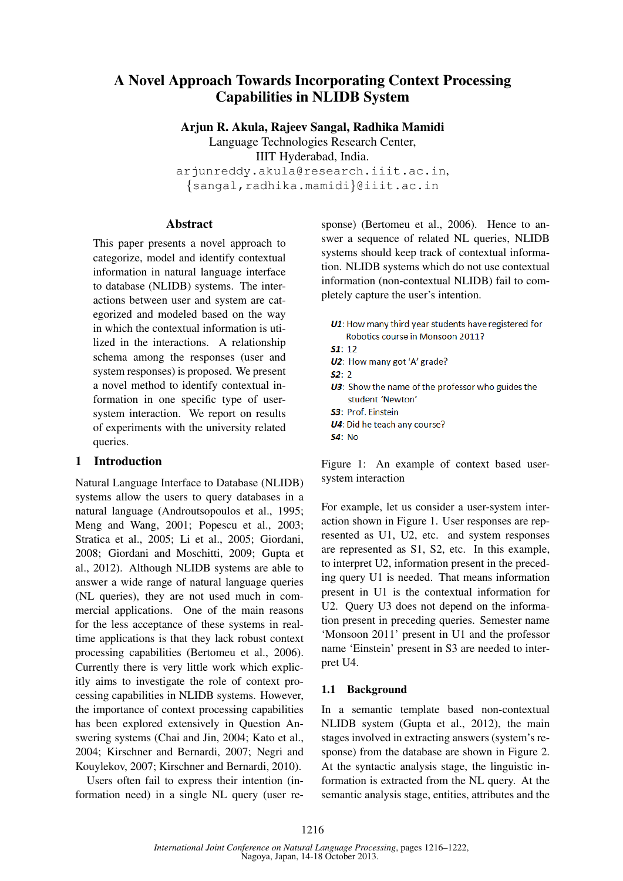# A Novel Approach Towards Incorporating Context Processing Capabilities in NLIDB System

Arjun R. Akula, Rajeev Sangal, Radhika Mamidi

Language Technologies Research Center,

IIIT Hyderabad, India.

arjunreddy.akula@research.iiit.ac.in, *{*sangal,radhika.mamidi*}*@iiit.ac.in

# Abstract

This paper presents a novel approach to categorize, model and identify contextual information in natural language interface to database (NLIDB) systems. The interactions between user and system are categorized and modeled based on the way in which the contextual information is utilized in the interactions. A relationship schema among the responses (user and system responses) is proposed. We present a novel method to identify contextual information in one specific type of usersystem interaction. We report on results of experiments with the university related queries.

# 1 Introduction

Natural Language Interface to Database (NLIDB) systems allow the users to query databases in a natural language (Androutsopoulos et al., 1995; Meng and Wang, 2001; Popescu et al., 2003; Stratica et al., 2005; Li et al., 2005; Giordani, 2008; Giordani and Moschitti, 2009; Gupta et al., 2012). Although NLIDB systems are able to answer a wide range of natural language queries (NL queries), they are not used much in commercial applications. One of the main reasons for the less acceptance of these systems in realtime applications is that they lack robust context processing capabilities (Bertomeu et al., 2006). Currently there is very little work which explicitly aims to investigate the role of context processing capabilities in NLIDB systems. However, the importance of context processing capabilities has been explored extensively in Question Answering systems (Chai and Jin, 2004; Kato et al., 2004; Kirschner and Bernardi, 2007; Negri and Kouylekov, 2007; Kirschner and Bernardi, 2010).

Users often fail to express their intention (information need) in a single NL query (user response) (Bertomeu et al., 2006). Hence to answer a sequence of related NL queries, NLIDB systems should keep track of contextual information. NLIDB systems which do not use contextual information (non-contextual NLIDB) fail to completely capture the user's intention.

- U1: How many third year students have registered for Robotics course in Monsoon 2011?
- $51:12$
- U2: How many got 'A' grade?
- $52 2$
- U3: Show the name of the professor who guides the student 'Newton'
- S3: Prof. Einstein
- U4: Did he teach any course?
- $54:$  No

Figure 1: An example of context based usersystem interaction

For example, let us consider a user-system interaction shown in Figure 1. User responses are represented as U1, U2, etc. and system responses are represented as S1, S2, etc. In this example, to interpret U2, information present in the preceding query U1 is needed. That means information present in U1 is the contextual information for U2. Query U3 does not depend on the information present in preceding queries. Semester name 'Monsoon 2011' present in U1 and the professor name 'Einstein' present in S3 are needed to interpret U4.

# 1.1 Background

In a semantic template based non-contextual NLIDB system (Gupta et al., 2012), the main stages involved in extracting answers (system's response) from the database are shown in Figure 2. At the syntactic analysis stage, the linguistic information is extracted from the NL query. At the semantic analysis stage, entities, attributes and the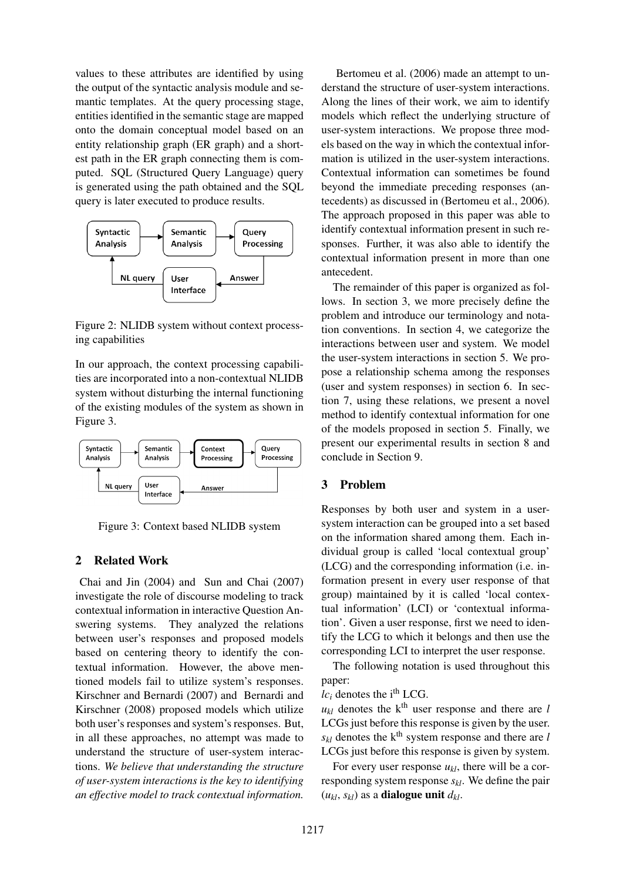values to these attributes are identified by using the output of the syntactic analysis module and semantic templates. At the query processing stage, entities identified in the semantic stage are mapped onto the domain conceptual model based on an entity relationship graph (ER graph) and a shortest path in the ER graph connecting them is computed. SQL (Structured Query Language) query is generated using the path obtained and the SQL query is later executed to produce results.



Figure 2: NLIDB system without context processing capabilities

In our approach, the context processing capabilities are incorporated into a non-contextual NLIDB system without disturbing the internal functioning of the existing modules of the system as shown in Figure 3.



Figure 3: Context based NLIDB system

### 2 Related Work

Chai and Jin (2004) and Sun and Chai (2007) investigate the role of discourse modeling to track contextual information in interactive Question Answering systems. They analyzed the relations between user's responses and proposed models based on centering theory to identify the contextual information. However, the above mentioned models fail to utilize system's responses. Kirschner and Bernardi (2007) and Bernardi and Kirschner (2008) proposed models which utilize both user's responses and system's responses. But, in all these approaches, no attempt was made to understand the structure of user-system interactions. *We believe that understanding the structure of user-system interactions is the key to identifying an effective model to track contextual information.*

Bertomeu et al. (2006) made an attempt to understand the structure of user-system interactions. Along the lines of their work, we aim to identify models which reflect the underlying structure of user-system interactions. We propose three models based on the way in which the contextual information is utilized in the user-system interactions. Contextual information can sometimes be found beyond the immediate preceding responses (antecedents) as discussed in (Bertomeu et al., 2006). The approach proposed in this paper was able to identify contextual information present in such responses. Further, it was also able to identify the contextual information present in more than one antecedent.

The remainder of this paper is organized as follows. In section 3, we more precisely define the problem and introduce our terminology and notation conventions. In section 4, we categorize the interactions between user and system. We model the user-system interactions in section 5. We propose a relationship schema among the responses (user and system responses) in section 6. In section 7, using these relations, we present a novel method to identify contextual information for one of the models proposed in section 5. Finally, we present our experimental results in section 8 and conclude in Section 9.

#### 3 Problem

Responses by both user and system in a usersystem interaction can be grouped into a set based on the information shared among them. Each individual group is called 'local contextual group' (LCG) and the corresponding information (i.e. information present in every user response of that group) maintained by it is called 'local contextual information' (LCI) or 'contextual information'. Given a user response, first we need to identify the LCG to which it belongs and then use the corresponding LCI to interpret the user response.

The following notation is used throughout this paper:

 $lc<sub>i</sub>$  denotes the i<sup>th</sup> LCG.

 $u_{kl}$  denotes the k<sup>th</sup> user response and there are *l* LCGs just before this response is given by the user.  $s_{kl}$  denotes the k<sup>th</sup> system response and there are *l* LCGs just before this response is given by system.

For every user response  $u_{kl}$ , there will be a corresponding system response *skl*. We define the pair  $(u_{kl}, s_{kl})$  as a **dialogue unit**  $d_{kl}$ .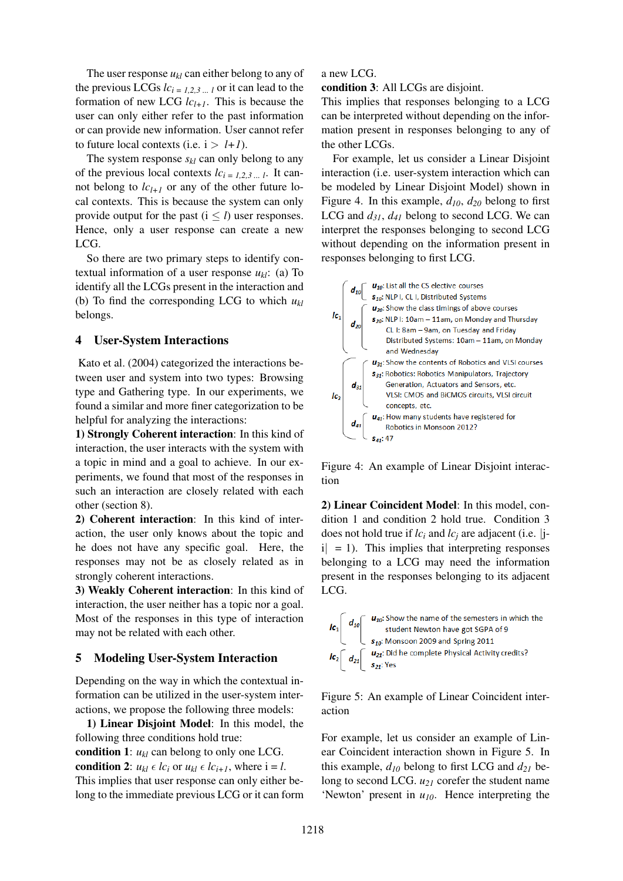The user response  $u_{kl}$  can either belong to any of the previous LCGs  $lc_{i=1,2,3}$   $\ldots$  *l* or it can lead to the formation of new LCG  $lc_{l+1}$ . This is because the user can only either refer to the past information or can provide new information. User cannot refer to future local contexts (i.e.  $i > l+1$ ).

The system response *skl* can only belong to any of the previous local contexts  $lc_{i = 1,2,3...}$ . It cannot belong to  $lc_{l+1}$  or any of the other future local contexts. This is because the system can only provide output for the past  $(i < l)$  user responses. Hence, only a user response can create a new LCG.

So there are two primary steps to identify contextual information of a user response  $u_k$ : (a) To identify all the LCGs present in the interaction and (b) To find the corresponding LCG to which *ukl* belongs.

### 4 User-System Interactions

Kato et al. (2004) categorized the interactions between user and system into two types: Browsing type and Gathering type. In our experiments, we found a similar and more finer categorization to be helpful for analyzing the interactions:

1) Strongly Coherent interaction: In this kind of interaction, the user interacts with the system with a topic in mind and a goal to achieve. In our experiments, we found that most of the responses in such an interaction are closely related with each other (section 8).

2) Coherent interaction: In this kind of interaction, the user only knows about the topic and he does not have any specific goal. Here, the responses may not be as closely related as in strongly coherent interactions.

3) Weakly Coherent interaction: In this kind of interaction, the user neither has a topic nor a goal. Most of the responses in this type of interaction may not be related with each other.

#### 5 Modeling User-System Interaction

Depending on the way in which the contextual information can be utilized in the user-system interactions, we propose the following three models:

1) Linear Disjoint Model: In this model, the following three conditions hold true:

condition 1:  $u_{kl}$  can belong to only one LCG. condition 2:  $u_{kl} \in lc_i$  or  $u_{kl} \in lc_{i+1}$ , where  $i = l$ . This implies that user response can only either belong to the immediate previous LCG or it can form

#### a new LCG.

condition 3: All LCGs are disjoint.

This implies that responses belonging to a LCG can be interpreted without depending on the information present in responses belonging to any of the other LCGs.

For example, let us consider a Linear Disjoint interaction (i.e. user-system interaction which can be modeled by Linear Disjoint Model) shown in Figure 4. In this example,  $d_{10}$ ,  $d_{20}$  belong to first LCG and  $d_{31}$ ,  $d_{41}$  belong to second LCG. We can interpret the responses belonging to second LCG without depending on the information present in responses belonging to first LCG.



Figure 4: An example of Linear Disjoint interaction

2) Linear Coincident Model: In this model, condition 1 and condition 2 hold true. Condition 3 does not hold true if *lc<sup>i</sup>* and *lc<sup>j</sup>* are adjacent (i.e. *|*ji*|* = 1). This implies that interpreting responses belonging to a LCG may need the information present in the responses belonging to its adjacent LCG.



Figure 5: An example of Linear Coincident interaction

For example, let us consider an example of Linear Coincident interaction shown in Figure 5. In this example,  $d_{10}$  belong to first LCG and  $d_{21}$  belong to second LCG. *u<sup>21</sup>* corefer the student name 'Newton' present in *u10*. Hence interpreting the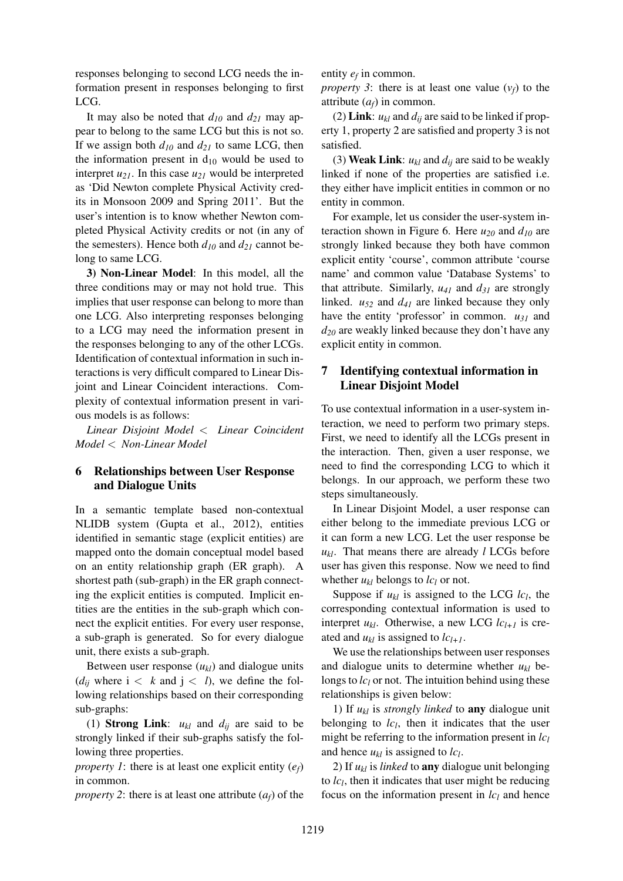responses belonging to second LCG needs the information present in responses belonging to first LCG.

It may also be noted that *d<sup>10</sup>* and *d<sup>21</sup>* may appear to belong to the same LCG but this is not so. If we assign both  $d_{10}$  and  $d_{21}$  to same LCG, then the information present in  $d_{10}$  would be used to interpret *u21*. In this case *u<sup>21</sup>* would be interpreted as 'Did Newton complete Physical Activity credits in Monsoon 2009 and Spring 2011'. But the user's intention is to know whether Newton completed Physical Activity credits or not (in any of the semesters). Hence both  $d_{10}$  and  $d_{21}$  cannot belong to same LCG.

3) Non-Linear Model: In this model, all the three conditions may or may not hold true. This implies that user response can belong to more than one LCG. Also interpreting responses belonging to a LCG may need the information present in the responses belonging to any of the other LCGs. Identification of contextual information in such interactions is very difficult compared to Linear Disjoint and Linear Coincident interactions. Complexity of contextual information present in various models is as follows:

*Linear Disjoint Model < Linear Coincident Model < Non-Linear Model*

### 6 Relationships between User Response and Dialogue Units

In a semantic template based non-contextual NLIDB system (Gupta et al., 2012), entities identified in semantic stage (explicit entities) are mapped onto the domain conceptual model based on an entity relationship graph (ER graph). A shortest path (sub-graph) in the ER graph connecting the explicit entities is computed. Implicit entities are the entities in the sub-graph which connect the explicit entities. For every user response, a sub-graph is generated. So for every dialogue unit, there exists a sub-graph.

Between user response  $(u_{kl})$  and dialogue units  $(d_{ij}$  where  $i < k$  and  $j < l$ ), we define the following relationships based on their corresponding sub-graphs:

(1) **Strong Link:**  $u_{kl}$  and  $d_{ij}$  are said to be strongly linked if their sub-graphs satisfy the following three properties.

*property 1*: there is at least one explicit entity  $(e_f)$ in common.

*property 2*: there is at least one attribute  $(a_f)$  of the

entity  $e_f$  in common.

*property 3*: there is at least one value  $(v_f)$  to the attribute  $(a_f)$  in common.

(2) Link:  $u_{kl}$  and  $d_{ij}$  are said to be linked if property 1, property 2 are satisfied and property 3 is not satisfied.

(3) Weak Link:  $u_{kl}$  and  $d_{ij}$  are said to be weakly linked if none of the properties are satisfied i.e. they either have implicit entities in common or no entity in common.

For example, let us consider the user-system interaction shown in Figure 6. Here *u<sup>20</sup>* and *d<sup>10</sup>* are strongly linked because they both have common explicit entity 'course', common attribute 'course name' and common value 'Database Systems' to that attribute. Similarly,  $u_{41}$  and  $d_{31}$  are strongly linked.  $u_{52}$  and  $d_{41}$  are linked because they only have the entity 'professor' in common. *u<sup>31</sup>* and *d<sup>20</sup>* are weakly linked because they don't have any explicit entity in common.

# 7 Identifying contextual information in Linear Disjoint Model

To use contextual information in a user-system interaction, we need to perform two primary steps. First, we need to identify all the LCGs present in the interaction. Then, given a user response, we need to find the corresponding LCG to which it belongs. In our approach, we perform these two steps simultaneously.

In Linear Disjoint Model, a user response can either belong to the immediate previous LCG or it can form a new LCG. Let the user response be  $u_{kl}$ . That means there are already *l* LCGs before user has given this response. Now we need to find whether  $u_{kl}$  belongs to  $lc_l$  or not.

Suppose if  $u_{kl}$  is assigned to the LCG  $lc_l$ , the corresponding contextual information is used to interpret  $u_{kl}$ . Otherwise, a new LCG  $lc_{l+1}$  is created and  $u_{kl}$  is assigned to  $lc_{l+1}$ .

We use the relationships between user responses and dialogue units to determine whether  $u_{kl}$  belongs to *lc<sub>l</sub>* or not. The intuition behind using these relationships is given below:

1) If  $u_{kl}$  is *strongly linked* to **any** dialogue unit belonging to  $lc_l$ , then it indicates that the user might be referring to the information present in *lc<sup>l</sup>* and hence  $u_{kl}$  is assigned to  $lc_l$ .

2) If  $u_{kl}$  is *linked* to **any** dialogue unit belonging to  $lc<sub>l</sub>$ , then it indicates that user might be reducing focus on the information present in *lc<sup>l</sup>* and hence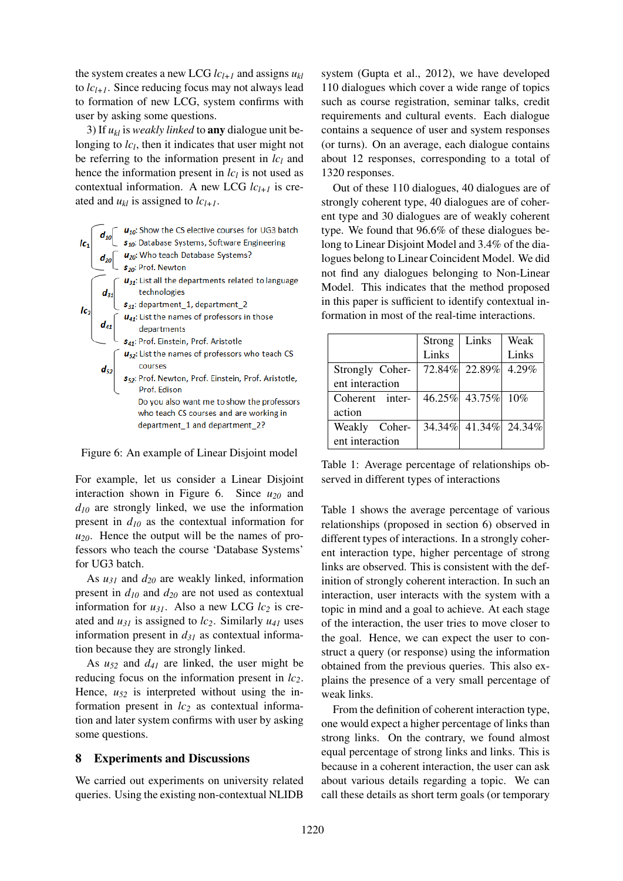the system creates a new LCG  $lc_{l+1}$  and assigns  $u_{kl}$ to  $lc_{l+1}$ . Since reducing focus may not always lead to formation of new LCG, system confirms with user by asking some questions.

3) If  $u_{kl}$  is *weakly linked* to **any** dialogue unit belonging to  $lc_l$ , then it indicates that user might not be referring to the information present in *lc<sup>l</sup>* and hence the information present in *lc<sup>l</sup>* is not used as contextual information. A new LCG  $lc_{l+1}$  is created and  $u_{kl}$  is assigned to  $lc_{l+1}$ .



Figure 6: An example of Linear Disjoint model

For example, let us consider a Linear Disjoint interaction shown in Figure 6. Since *u<sup>20</sup>* and *d<sup>10</sup>* are strongly linked, we use the information present in *d<sup>10</sup>* as the contextual information for  $u_{20}$ . Hence the output will be the names of professors who teach the course 'Database Systems' for UG3 batch.

As *u<sup>31</sup>* and *d<sup>20</sup>* are weakly linked, information present in *d<sup>10</sup>* and *d<sup>20</sup>* are not used as contextual information for  $u_{31}$ . Also a new LCG  $lc_2$  is created and  $u_{31}$  is assigned to  $lc_2$ . Similarly  $u_{41}$  uses information present in  $d_{31}$  as contextual information because they are strongly linked.

As *u<sup>52</sup>* and *d<sup>41</sup>* are linked, the user might be reducing focus on the information present in *lc2*. Hence, *u<sup>52</sup>* is interpreted without using the information present in *lc<sup>2</sup>* as contextual information and later system confirms with user by asking some questions.

#### 8 Experiments and Discussions

We carried out experiments on university related queries. Using the existing non-contextual NLIDB

system (Gupta et al., 2012), we have developed 110 dialogues which cover a wide range of topics such as course registration, seminar talks, credit requirements and cultural events. Each dialogue contains a sequence of user and system responses (or turns). On an average, each dialogue contains about 12 responses, corresponding to a total of 1320 responses.

Out of these 110 dialogues, 40 dialogues are of strongly coherent type, 40 dialogues are of coherent type and 30 dialogues are of weakly coherent type. We found that 96.6% of these dialogues belong to Linear Disjoint Model and 3.4% of the dialogues belong to Linear Coincident Model. We did not find any dialogues belonging to Non-Linear Model. This indicates that the method proposed in this paper is sufficient to identify contextual information in most of the real-time interactions.

|                 | Strong | Links                | Weak     |
|-----------------|--------|----------------------|----------|
|                 | Links  |                      | Links    |
| Strongly Coher- |        | 72.84% 22.89%        | $4.29\%$ |
| ent interaction |        |                      |          |
| Coherent inter- |        | 46.25% 43.75% 10%    |          |
| action          |        |                      |          |
| Weakly Coher-   |        | 34.34% 41.34% 24.34% |          |
| ent interaction |        |                      |          |

Table 1: Average percentage of relationships observed in different types of interactions

Table 1 shows the average percentage of various relationships (proposed in section 6) observed in different types of interactions. In a strongly coherent interaction type, higher percentage of strong links are observed. This is consistent with the definition of strongly coherent interaction. In such an interaction, user interacts with the system with a topic in mind and a goal to achieve. At each stage of the interaction, the user tries to move closer to the goal. Hence, we can expect the user to construct a query (or response) using the information obtained from the previous queries. This also explains the presence of a very small percentage of weak links.

From the definition of coherent interaction type, one would expect a higher percentage of links than strong links. On the contrary, we found almost equal percentage of strong links and links. This is because in a coherent interaction, the user can ask about various details regarding a topic. We can call these details as short term goals (or temporary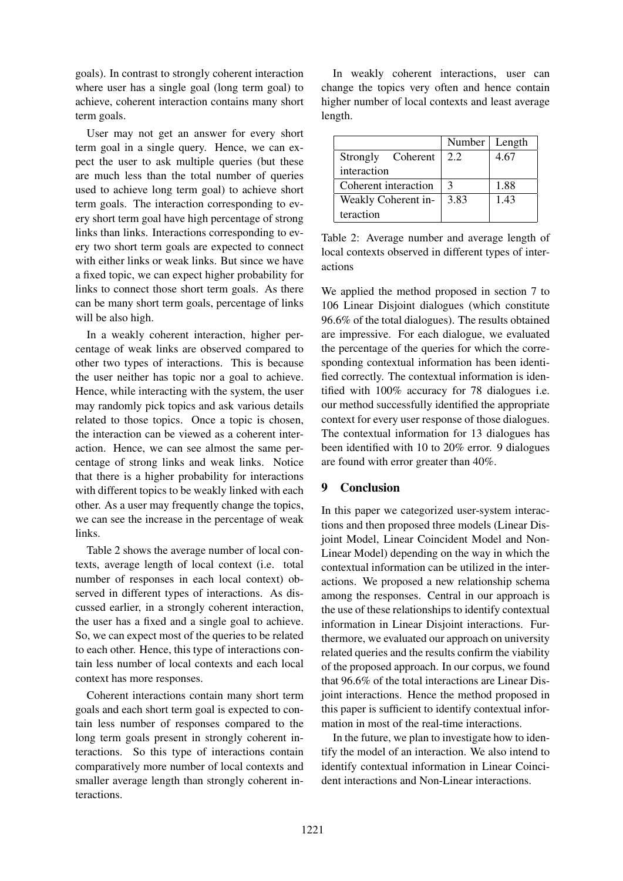goals). In contrast to strongly coherent interaction where user has a single goal (long term goal) to achieve, coherent interaction contains many short term goals.

User may not get an answer for every short term goal in a single query. Hence, we can expect the user to ask multiple queries (but these are much less than the total number of queries used to achieve long term goal) to achieve short term goals. The interaction corresponding to every short term goal have high percentage of strong links than links. Interactions corresponding to every two short term goals are expected to connect with either links or weak links. But since we have a fixed topic, we can expect higher probability for links to connect those short term goals. As there can be many short term goals, percentage of links will be also high.

In a weakly coherent interaction, higher percentage of weak links are observed compared to other two types of interactions. This is because the user neither has topic nor a goal to achieve. Hence, while interacting with the system, the user may randomly pick topics and ask various details related to those topics. Once a topic is chosen, the interaction can be viewed as a coherent interaction. Hence, we can see almost the same percentage of strong links and weak links. Notice that there is a higher probability for interactions with different topics to be weakly linked with each other. As a user may frequently change the topics, we can see the increase in the percentage of weak links.

Table 2 shows the average number of local contexts, average length of local context (i.e. total number of responses in each local context) observed in different types of interactions. As discussed earlier, in a strongly coherent interaction, the user has a fixed and a single goal to achieve. So, we can expect most of the queries to be related to each other. Hence, this type of interactions contain less number of local contexts and each local context has more responses.

Coherent interactions contain many short term goals and each short term goal is expected to contain less number of responses compared to the long term goals present in strongly coherent interactions. So this type of interactions contain comparatively more number of local contexts and smaller average length than strongly coherent interactions.

In weakly coherent interactions, user can change the topics very often and hence contain higher number of local contexts and least average length.

|                      | Number | Length |
|----------------------|--------|--------|
| Strongly Coherent    | 2.2    | 4.67   |
| interaction          |        |        |
| Coherent interaction | 3      | 1.88   |
| Weakly Coherent in-  | 3.83   | 1.43   |
| teraction            |        |        |

Table 2: Average number and average length of local contexts observed in different types of interactions

We applied the method proposed in section 7 to 106 Linear Disjoint dialogues (which constitute 96.6% of the total dialogues). The results obtained are impressive. For each dialogue, we evaluated the percentage of the queries for which the corresponding contextual information has been identified correctly. The contextual information is identified with 100% accuracy for 78 dialogues i.e. our method successfully identified the appropriate context for every user response of those dialogues. The contextual information for 13 dialogues has been identified with 10 to 20% error. 9 dialogues are found with error greater than 40%.

### 9 Conclusion

In this paper we categorized user-system interactions and then proposed three models (Linear Disjoint Model, Linear Coincident Model and Non-Linear Model) depending on the way in which the contextual information can be utilized in the interactions. We proposed a new relationship schema among the responses. Central in our approach is the use of these relationships to identify contextual information in Linear Disjoint interactions. Furthermore, we evaluated our approach on university related queries and the results confirm the viability of the proposed approach. In our corpus, we found that 96.6% of the total interactions are Linear Disjoint interactions. Hence the method proposed in this paper is sufficient to identify contextual information in most of the real-time interactions.

In the future, we plan to investigate how to identify the model of an interaction. We also intend to identify contextual information in Linear Coincident interactions and Non-Linear interactions.